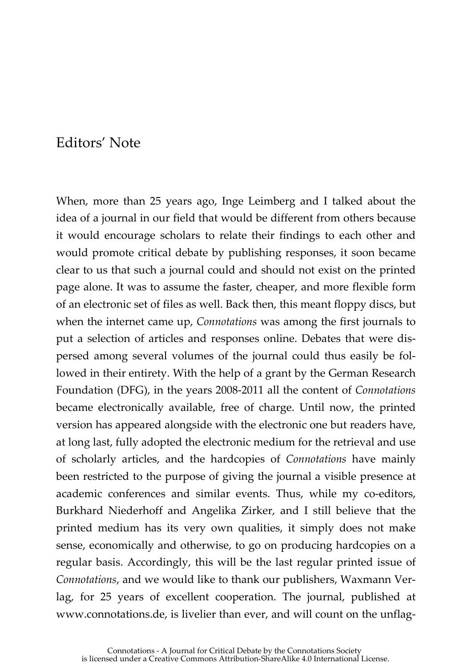## Editors' Note

When, more than 25 years ago, Inge Leimberg and I talked about the idea of a journal in our field that would be different from others because it would encourage scholars to relate their findings to each other and would promote critical debate by publishing responses, it soon became clear to us that such a journal could and should not exist on the printed page alone. It was to assume the faster, cheaper, and more flexible form of an electronic set of files as well. Back then, this meant floppy discs, but when the internet came up, *Connotations* was among the first journals to put a selection of articles and responses online. Debates that were dispersed among several volumes of the journal could thus easily be followed in their entirety. With the help of a grant by the German Research Foundation (DFG), in the years 2008-2011 all the content of *Connotations* became electronically available, free of charge. Until now, the printed version has appeared alongside with the electronic one but readers have, at long last, fully adopted the electronic medium for the retrieval and use of scholarly articles, and the hardcopies of *Connotations* have mainly been restricted to the purpose of giving the journal a visible presence at academic conferences and similar events. Thus, while my co-editors, Burkhard Niederhoff and Angelika Zirker, and I still believe that the printed medium has its very own qualities, it simply does not make sense, economically and otherwise, to go on producing hardcopies on a regular basis. Accordingly, this will be the last regular printed issue of *Connotations*, and we would like to thank our publishers, Waxmann Verlag, for 25 years of excellent cooperation. The journal, published at www.connotations.de, is livelier than ever, and will count on the unflag